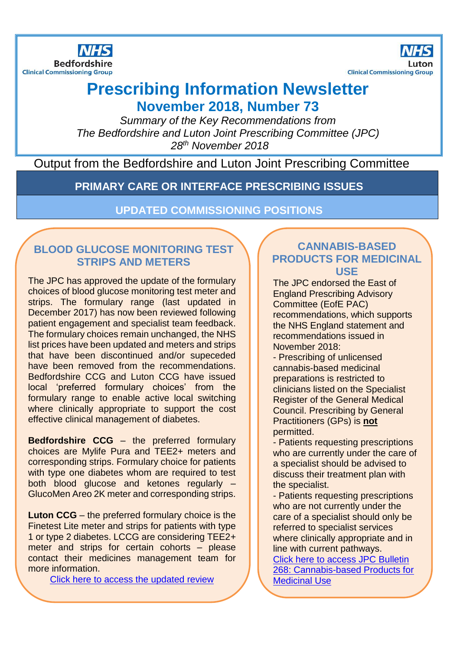



# **Prescribing Information Newsletter**

**November 2018, Number 73**

*Summary of the Key Recommendations from The Bedfordshire and Luton Joint Prescribing Committee (JPC) 28th November 2018*

# Output from the Bedfordshire and Luton Joint Prescribing Committee

**PRIMARY CARE OR INTERFACE PRESCRIBING ISSUES**

**UPDATED COMMISSIONING POSITIONS**

# **BLOOD GLUCOSE MONITORING TEST STRIPS AND METERS**

The JPC has approved the update of the formulary choices of blood glucose monitoring test meter and strips. The formulary range (last updated in December 2017) has now been reviewed following patient engagement and specialist team feedback. The formulary choices remain unchanged, the NHS list prices have been updated and meters and strips that have been discontinued and/or supeceded have been removed from the recommendations. Bedfordshire CCG and Luton CCG have issued local 'preferred formulary choices' from the formulary range to enable active local switching where clinically appropriate to support the cost effective clinical management of diabetes.

**Bedfordshire CCG** – the preferred formulary choices are Mylife Pura and TEE2+ meters and corresponding strips. Formulary choice for patients with type one diabetes whom are required to test both blood glucose and ketones regularly – GlucoMen Areo 2K meter and corresponding strips.

**Luton CCG** – the preferred formulary choice is the Finetest Lite meter and strips for patients with type 1 or type 2 diabetes. LCCG are considering TEE2+ meter and strips for certain cohorts – please contact their medicines management team for more information.

[Click here to access the updated review](http://www.gpref.bedfordshire.nhs.uk/media/214309/blccg_bgm_sripreviewnov19.pdf) 

#### **CANNABIS-BASED PRODUCTS FOR MEDICINAL USE**

The JPC endorsed the East of England Prescribing Advisory Committee (EofE PAC) recommendations, which supports the NHS England statement and recommendations issued in November 2018:

- Prescribing of unlicensed cannabis-based medicinal preparations is restricted to clinicians listed on the Specialist Register of the General Medical Council. Prescribing by General Practitioners (GPs) is **not** permitted.

- Patients requesting prescriptions who are currently under the care of a specialist should be advised to discuss their treatment plan with the specialist.

- Patients requesting prescriptions who are not currently under the care of a specialist should only be referred to specialist services where clinically appropriate and in line with current pathways.

[Click here to access JPC Bulletin](http://www.gpref.bedfordshire.nhs.uk/media/213570/jpc_statementoncannabisproductsformedicinaluse.pdf)  [268: Cannabis-based Products for](http://www.gpref.bedfordshire.nhs.uk/media/213570/jpc_statementoncannabisproductsformedicinaluse.pdf)  [Medicinal Use](http://www.gpref.bedfordshire.nhs.uk/media/213570/jpc_statementoncannabisproductsformedicinaluse.pdf)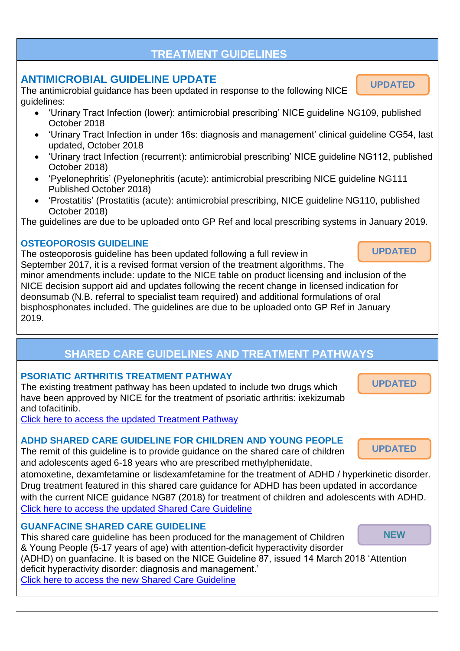# **TREATMENT GUIDELINES**

# **ANTIMICROBIAL GUIDELINE UPDATE**

The antimicrobial guidance has been updated in response to the following NICE guidelines:

- 'Urinary Tract Infection (lower): antimicrobial prescribing' NICE guideline NG109, published October 2018
- 'Urinary Tract Infection in under 16s: diagnosis and management' clinical guideline CG54, last updated, October 2018
- 'Urinary tract Infection (recurrent): antimicrobial prescribing' NICE guideline NG112, published October 2018)
- 'Pyelonephritis' (Pyelonephritis (acute): antimicrobial prescribing NICE guideline NG111 Published October 2018)
- 'Prostatitis' (Prostatitis (acute): antimicrobial prescribing, NICE guideline NG110, published October 2018)

The guidelines are due to be uploaded onto GP Ref and local prescribing systems in January 2019.

#### **OSTEOPOROSIS GUIDELINE**

The osteoporosis guideline has been updated following a full review in September 2017, it is a revised format version of the treatment algorithms. The minor amendments include: update to the NICE table on product licensing and inclusion of the NICE decision support aid and updates following the recent change in licensed indication for deonsumab (N.B. referral to specialist team required) and additional formulations of oral bisphosphonates included. The guidelines are due to be uploaded onto GP Ref in January 2019.

# **SHARED CARE GUIDELINES AND TREATMENT PATHWAYS**

#### **PSORIATIC ARTHRITIS TREATMENT PATHWAY**

The existing treatment pathway has been updated to include two drugs which have been approved by NICE for the treatment of psoriatic arthritis: ixekizumab and tofacitinib.

[Click here to access the updated Treatment Pathway](http://www.gpref.bedfordshire.nhs.uk/media/213573/psa_pathwayixekizumabandtofacitinib_.pdf)

#### **ADHD SHARED CARE GUIDELINE FOR CHILDREN AND YOUNG PEOPLE**

The remit of this guideline is to provide guidance on the shared care of children and adolescents aged 6-18 years who are prescribed methylphenidate,

atomoxetine, dexamfetamine or lisdexamfetamine for the treatment of ADHD / hyperkinetic disorder. Drug treatment featured in this shared care guidance for ADHD has been updated in accordance with the current NICE guidance NG87 (2018) for treatment of children and adolescents with ADHD. [Click here to access the updated Shared Care Guideline](http://www.gpref.bedfordshire.nhs.uk/media/213564/adhd_multipledrugs.pdf)

#### **GUANFACINE SHARED CARE GUIDELINE**

This shared care guideline has been produced for the management of Children & Young People (5-17 years of age) with attention-deficit hyperactivity disorder (ADHD) on guanfacine. It is based on the NICE Guideline 87, issued 14 March 2018 'Attention deficit hyperactivity disorder: diagnosis and management.' [Click here to access the new Shared Care Guideline](http://www.gpref.bedfordshire.nhs.uk/media/214006/guanfacinescg_adhd.pdf)  **NEW**

**UPDATED**

**UPDATED**

**UPDATED**

**UPDATED**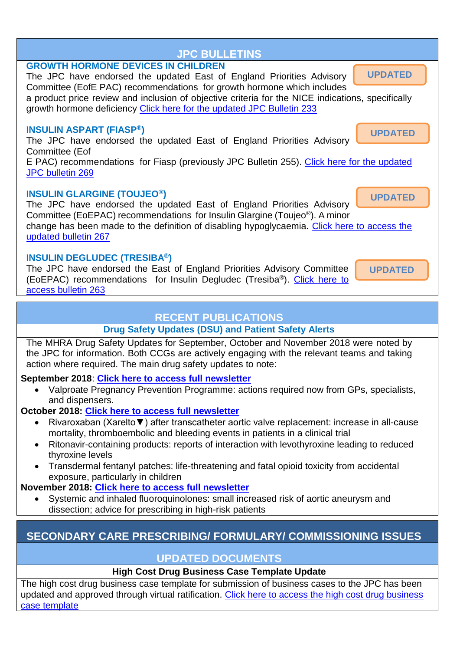

the JPC for information. Both CCGs are actively engaging with the relevant teams and taking action where required. The main drug safety updates to note:

**September 2018**: **[Click here to access full newsletter](https://assets.publishing.service.gov.uk/government/uploads/system/uploads/attachment_data/file/743094/Sept-2018-DSU-PDF.pdf)**

 Valproate Pregnancy Prevention Programme: actions required now from GPs, specialists, and dispensers.

**October 2018: [Click here to access full newsletter](https://assets.publishing.service.gov.uk/government/uploads/system/uploads/attachment_data/file/747591/PDF-Oct-2018-DSU-FINAL.pdf)**

- Rivaroxaban (Xarelto▼) after transcatheter aortic valve replacement: increase in all-cause mortality, thromboembolic and bleeding events in patients in a clinical trial
- Ritonavir-containing products: reports of interaction with levothyroxine leading to reduced thyroxine levels
- Transdermal fentanyl patches: life-threatening and fatal opioid toxicity from accidental exposure, particularly in children

**November 2018: [Click here to access full newsletter](https://assets.publishing.service.gov.uk/government/uploads/system/uploads/attachment_data/file/756090/PDF-Nov-2018-DSU-1411.pdf)**

 Systemic and inhaled fluoroquinolones: small increased risk of aortic aneurysm and dissection; advice for prescribing in high-risk patients

# **SECONDARY CARE PRESCRIBING/ FORMULARY/ COMMISSIONING ISSUES**

# **UPDATED DOCUMENTS**

**High Cost Drug Business Case Template Update**

The high cost drug business case template for submission of business cases to the JPC has been updated and approved through virtual ratification. [Click here to access the high cost drug business](http://www.gpref.bedfordshire.nhs.uk/media/214360/hcd_businesscasetemplateoct2018.pdf)  [case template](http://www.gpref.bedfordshire.nhs.uk/media/214360/hcd_businesscasetemplateoct2018.pdf)